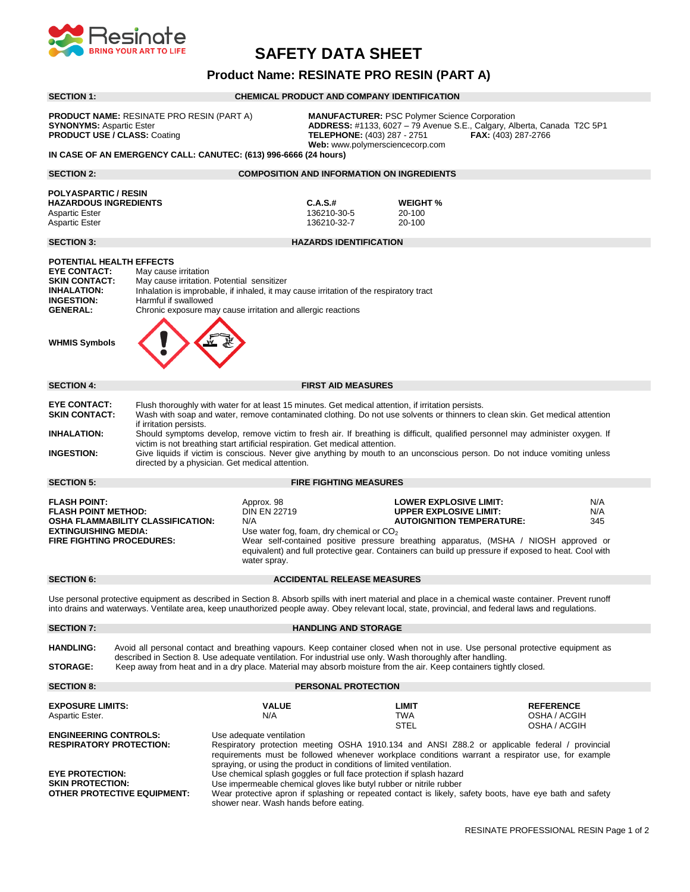

# **SAFETY DATA SHEET**

## **Product Name: RESINATE PRO RESIN (PART A)**

### **SECTION 1: CHEMICAL PRODUCT AND COMPANY IDENTIFICATION**

**PRODUCT NAME:** RESINATE PRO RESIN (PART A) **MANUFACTURER:** PSC Polymer Science Corporation<br>**SYNONYMS:** Aspartic Ester **Containery Additional ADDRESS:** #1133, 6027 - 79 Avenue S.E., Calgary, All **SYNONYMS:** Aspartic Ester **ADDRESS:** #1133, 6027 – 79 Avenue S.E., Calgary, Alberta, Canada T2C 5P1 **PRODUCT USE / CLASS:** Coating **TELEPHONE:** (403) 287 - 2751 **FAX:** (403) 287-2766 **Web:** www.polymersciencecorp.com

| IN CASE OF AN EMERGENCY CALL: CANUTEC: (613) 996-6666 (24 hours)                                                                                                                                                                                                                                              |                                                                                                                                                                                                                                                                                                                                                                                                                                                                                 |                                                                                                                                                                                                                                                                                                                                                                                 |                                                                                                                                                                                                                                                                                                                                                                |                                                  |  |  |  |
|---------------------------------------------------------------------------------------------------------------------------------------------------------------------------------------------------------------------------------------------------------------------------------------------------------------|---------------------------------------------------------------------------------------------------------------------------------------------------------------------------------------------------------------------------------------------------------------------------------------------------------------------------------------------------------------------------------------------------------------------------------------------------------------------------------|---------------------------------------------------------------------------------------------------------------------------------------------------------------------------------------------------------------------------------------------------------------------------------------------------------------------------------------------------------------------------------|----------------------------------------------------------------------------------------------------------------------------------------------------------------------------------------------------------------------------------------------------------------------------------------------------------------------------------------------------------------|--------------------------------------------------|--|--|--|
| <b>SECTION 2:</b>                                                                                                                                                                                                                                                                                             | <b>COMPOSITION AND INFORMATION ON INGREDIENTS</b>                                                                                                                                                                                                                                                                                                                                                                                                                               |                                                                                                                                                                                                                                                                                                                                                                                 |                                                                                                                                                                                                                                                                                                                                                                |                                                  |  |  |  |
| <b>POLYASPARTIC / RESIN</b><br><b>HAZARDOUS INGREDIENTS</b><br><b>Aspartic Ester</b><br><b>Aspartic Ester</b>                                                                                                                                                                                                 |                                                                                                                                                                                                                                                                                                                                                                                                                                                                                 | C.A.S.t.<br>136210-30-5<br>136210-32-7                                                                                                                                                                                                                                                                                                                                          | <b>WEIGHT %</b><br>20-100<br>20-100                                                                                                                                                                                                                                                                                                                            |                                                  |  |  |  |
| <b>SECTION 3:</b><br><b>HAZARDS IDENTIFICATION</b>                                                                                                                                                                                                                                                            |                                                                                                                                                                                                                                                                                                                                                                                                                                                                                 |                                                                                                                                                                                                                                                                                                                                                                                 |                                                                                                                                                                                                                                                                                                                                                                |                                                  |  |  |  |
| <b>EYE CONTACT:</b><br><b>SKIN CONTACT:</b><br><b>INHALATION:</b><br><b>INGESTION:</b><br><b>GENERAL:</b><br><b>WHMIS Symbols</b>                                                                                                                                                                             | POTENTIAL HEALTH EFFECTS<br>May cause irritation<br>May cause irritation. Potential sensitizer<br>Inhalation is improbable, if inhaled, it may cause irritation of the respiratory tract<br>Harmful if swallowed<br>Chronic exposure may cause irritation and allergic reactions                                                                                                                                                                                                |                                                                                                                                                                                                                                                                                                                                                                                 |                                                                                                                                                                                                                                                                                                                                                                |                                                  |  |  |  |
| <b>SECTION 4:</b>                                                                                                                                                                                                                                                                                             |                                                                                                                                                                                                                                                                                                                                                                                                                                                                                 | <b>FIRST AID MEASURES</b>                                                                                                                                                                                                                                                                                                                                                       |                                                                                                                                                                                                                                                                                                                                                                |                                                  |  |  |  |
| <b>EYE CONTACT:</b><br><b>SKIN CONTACT:</b><br><b>INHALATION:</b>                                                                                                                                                                                                                                             | Flush thoroughly with water for at least 15 minutes. Get medical attention, if irritation persists.<br>Wash with soap and water, remove contaminated clothing. Do not use solvents or thinners to clean skin. Get medical attention<br>if irritation persists.<br>Should symptoms develop, remove victim to fresh air. If breathing is difficult, qualified personnel may administer oxygen. If<br>victim is not breathing start artificial respiration. Get medical attention. |                                                                                                                                                                                                                                                                                                                                                                                 |                                                                                                                                                                                                                                                                                                                                                                |                                                  |  |  |  |
| <b>INGESTION:</b>                                                                                                                                                                                                                                                                                             | Give liquids if victim is conscious. Never give anything by mouth to an unconscious person. Do not induce vomiting unless<br>directed by a physician. Get medical attention.                                                                                                                                                                                                                                                                                                    |                                                                                                                                                                                                                                                                                                                                                                                 |                                                                                                                                                                                                                                                                                                                                                                |                                                  |  |  |  |
| <b>SECTION 5:</b><br><b>FIRE FIGHTING MEASURES</b>                                                                                                                                                                                                                                                            |                                                                                                                                                                                                                                                                                                                                                                                                                                                                                 |                                                                                                                                                                                                                                                                                                                                                                                 |                                                                                                                                                                                                                                                                                                                                                                |                                                  |  |  |  |
| <b>FLASH POINT:</b><br><b>FLASH POINT METHOD:</b><br><b>OSHA FLAMMABILITY CLASSIFICATION:</b><br><b>EXTINGUISHING MEDIA:</b><br><b>FIRE FIGHTING PROCEDURES:</b>                                                                                                                                              |                                                                                                                                                                                                                                                                                                                                                                                                                                                                                 | Approx. 98<br><b>DIN EN 22719</b><br>N/A<br>water spray.                                                                                                                                                                                                                                                                                                                        | N/A<br>LOWER EXPLOSIVE LIMIT:<br><b>UPPER EXPLOSIVE LIMIT:</b><br>N/A<br><b>AUTOIGNITION TEMPERATURE:</b><br>345<br>Use water fog, foam, dry chemical or $CO2$<br>Wear self-contained positive pressure breathing apparatus, (MSHA / NIOSH approved or<br>equivalent) and full protective gear. Containers can build up pressure if exposed to heat. Cool with |                                                  |  |  |  |
| <b>SECTION 6:</b><br><b>ACCIDENTAL RELEASE MEASURES</b>                                                                                                                                                                                                                                                       |                                                                                                                                                                                                                                                                                                                                                                                                                                                                                 |                                                                                                                                                                                                                                                                                                                                                                                 |                                                                                                                                                                                                                                                                                                                                                                |                                                  |  |  |  |
| Use personal protective equipment as described in Section 8. Absorb spills with inert material and place in a chemical waste container. Prevent runoff<br>into drains and waterways. Ventilate area, keep unauthorized people away. Obey relevant local, state, provincial, and federal laws and regulations. |                                                                                                                                                                                                                                                                                                                                                                                                                                                                                 |                                                                                                                                                                                                                                                                                                                                                                                 |                                                                                                                                                                                                                                                                                                                                                                |                                                  |  |  |  |
| <b>SECTION 7:</b><br><b>HANDLING AND STORAGE</b>                                                                                                                                                                                                                                                              |                                                                                                                                                                                                                                                                                                                                                                                                                                                                                 |                                                                                                                                                                                                                                                                                                                                                                                 |                                                                                                                                                                                                                                                                                                                                                                |                                                  |  |  |  |
| <b>HANDLING:</b><br><b>STORAGE:</b>                                                                                                                                                                                                                                                                           | Avoid all personal contact and breathing vapours. Keep container closed when not in use. Use personal protective equipment as<br>described in Section 8. Use adequate ventilation. For industrial use only. Wash thoroughly after handling.<br>Keep away from heat and in a dry place. Material may absorb moisture from the air. Keep containers tightly closed.                                                                                                               |                                                                                                                                                                                                                                                                                                                                                                                 |                                                                                                                                                                                                                                                                                                                                                                |                                                  |  |  |  |
| <b>SECTION 8:</b><br>PERSONAL PROTECTION                                                                                                                                                                                                                                                                      |                                                                                                                                                                                                                                                                                                                                                                                                                                                                                 |                                                                                                                                                                                                                                                                                                                                                                                 |                                                                                                                                                                                                                                                                                                                                                                |                                                  |  |  |  |
| <b>EXPOSURE LIMITS:</b><br>Aspartic Ester.                                                                                                                                                                                                                                                                    |                                                                                                                                                                                                                                                                                                                                                                                                                                                                                 | <b>VALUE</b><br>N/A                                                                                                                                                                                                                                                                                                                                                             | LIMIT<br><b>TWA</b><br><b>STEL</b>                                                                                                                                                                                                                                                                                                                             | <b>REFERENCE</b><br>OSHA / ACGIH<br>OSHA / ACGIH |  |  |  |
| <b>ENGINEERING CONTROLS:</b><br><b>RESPIRATORY PROTECTION:</b><br><b>EYE PROTECTION:</b>                                                                                                                                                                                                                      |                                                                                                                                                                                                                                                                                                                                                                                                                                                                                 | Use adequate ventilation<br>Respiratory protection meeting OSHA 1910.134 and ANSI Z88.2 or applicable federal / provincial<br>requirements must be followed whenever workplace conditions warrant a respirator use, for example<br>spraying, or using the product in conditions of limited ventilation.<br>Use chemical splash goggles or full face protection if splash hazard |                                                                                                                                                                                                                                                                                                                                                                |                                                  |  |  |  |
| <b>SKIN PROTECTION:</b>                                                                                                                                                                                                                                                                                       | <b>OTHER PROTECTIVE EQUIPMENT:</b>                                                                                                                                                                                                                                                                                                                                                                                                                                              | Use impermeable chemical gloves like butyl rubber or nitrile rubber<br>Wear protective apron if splashing or repeated contact is likely, safety boots, have eye bath and safety<br>shower near. Wash hands before eating.                                                                                                                                                       |                                                                                                                                                                                                                                                                                                                                                                |                                                  |  |  |  |